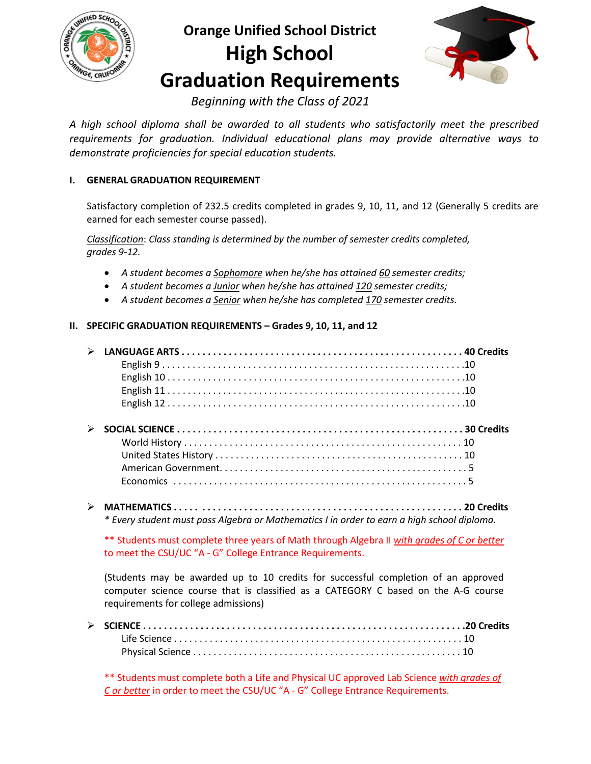

# **Orange Unified School District High School Graduation Requirements**



*Beginning with the Class of 2021*

*A high school diploma shall be awarded to all students who satisfactorily meet the prescribed requirements for graduation. Individual educational plans may provide alternative ways to demonstrate proficiencies for special education students.*

# **I. GENERAL GRADUATION REQUIREMENT**

Satisfactory completion of 232.5 credits completed in grades 9, 10, 11, and 12 (Generally 5 credits are earned for each semester course passed).

*Classification*: *Class standing is determined by the number of semester credits completed, grades 9-12.* 

- *A student becomes a Sophomore when he/she has attained 60 semester credits;*
- *A student becomes a Junior when he/she has attained 120 semester credits;*
- *A student becomes a Senior when he/she has completed 170 semester credits.*

# **II. SPECIFIC GRADUATION REQUIREMENTS – Grades 9, 10, 11, and 12**

| $\triangleright$ LANGUAGE ARTS $\ldots$ . $\ldots$ . $\ldots$ . $\ldots$ . $\ldots$ . $\ldots$ . $\ldots$ . $\ldots$ . $\ldots$ 40 Credits |  |
|--------------------------------------------------------------------------------------------------------------------------------------------|--|
|                                                                                                                                            |  |
|                                                                                                                                            |  |
|                                                                                                                                            |  |
|                                                                                                                                            |  |
|                                                                                                                                            |  |
|                                                                                                                                            |  |
|                                                                                                                                            |  |
|                                                                                                                                            |  |
|                                                                                                                                            |  |
|                                                                                                                                            |  |
|                                                                                                                                            |  |

 **MATHEMATICS . . . . . . . . . . . . . . . . . . . . . . . . . . . . . . . . . . . . . . . . . . . . . . . . . . . . . . . 20 Credits** *\* Every student must pass Algebra or Mathematics I in order to earn a high school diploma.*

\*\* Students must complete three years of Math through Algebra II *with grades of C or better* to meet the CSU/UC "A - G" College Entrance Requirements.

(Students may be awarded up to 10 credits for successful completion of an approved computer science course that is classified as a CATEGORY C based on the A-G course requirements for college admissions)

\*\* Students must complete both a Life and Physical UC approved Lab Science *with grades of C or better* in order to meet the CSU/UC "A - G" College Entrance Requirements.